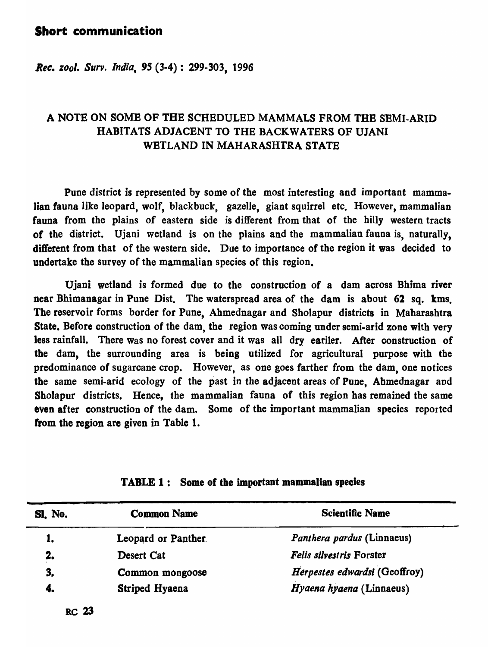## Short communication

*Rec. zool. Surv. India, 95 (3-4): 299-303, 1996* 

# A NOTE ON SOME OF THE SCHEDULED MAMMALS FROM THE SEMI-ARID HABITATS ADJACENT TO THE BACKWATERS OF UIANI WBTLAND IN MAHARASHTRA STATE

Pune district is represented by some of the most interesting and important mammalian fauna like leopard, wolf, blackbuck, gazelle, giant squirrel etc. However, mammalian fauna from the plains of eastern side is different from that of the hilly western tracts of the district. Ujani wetland is on the plains and the mammalian fauna is, naturally, different from that of the western side. Due to importance of the region it was decided to undertake the survey of the mammalian species of this region.

Ujani wetland is formed due to the construction of a dam across Bhjma river near Bhimanagar in Pune Dist. The waterspread area of the dam is about 62 sq. kms. The reservoir forms border for Pune, Ahmednagar and Sholapur districts in Maharashtra State. Before construction of the dam, the region was coming under semi-arid zone with very less rainfall. There was no forest cover and it was all dry eariler. After construction of the dam, the surrounding area is being utilized for agricultural purpose with the predominance of sugarcane crop. However, as one goes farther from the dam, one notices tbe same semi-arid ecology of the past in the adjacent areas of Pune, Ahmednagar and Sholapur districts, Hence, the mammalian fauna of this region has remained the same even after construction of the dam. Some of the important mammalian species reported from the region are given in Table 1.

| <b>SI. No.</b> | <b>Common Name</b>    | <b>Scientific Name</b>        |
|----------------|-----------------------|-------------------------------|
|                | Leopard or Panther.   | Panthera pardus (Linnaeus)    |
| 2.             | Desert Cat            | Felis silvestris Forster      |
| 3,             | Common mongoose       | Herpestes edwardsi (Geoffroy) |
|                | <b>Striped Hyaena</b> | Hyaena hyaena (Linnaeus)      |

TABLE 1: Some of tbe important mammalian species

RC 23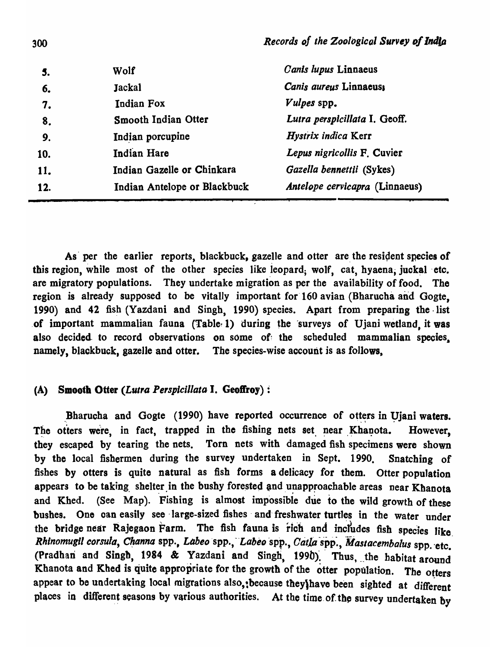| 5.  | Wolf                         | Canis lupus Linnaeus           |
|-----|------------------------------|--------------------------------|
| 6.  | Jackal                       | Canis aureus Linnaeus,         |
| 7.  | Indian Fox                   | Vulpes spp.                    |
| 8.  | Smooth Indian Otter          | Lutra perspicillata I. Geoff.  |
| 9.  | Indian porcupine             | Hystrix indica Kerr            |
| 10. | <b>Indian Hare</b>           | Lepus nigricollis F. Cuvier    |
| 11. | Indian Gazelle or Chinkara   | Gazella bennettii (Sykes)      |
| 12. | Indian Antelope or Blackbuck | Antelope cervicapra (Linnaeus) |

As per the earlier reports, blackbuck, gazelle and otter are the resident species of this region, while most of the other species like leopard; wolf, cat, hyaena, juckal etc. are migratory populations. They undertake migration as per the availability of food. The region is already supposed to be vitally important for 160 avian (Bharucha and Gogte, 1990) and 42 fish (Yazdani and Singh, 1990) species. Apart from preparing the list of important mammalian fauna (Table-1) during the surveys of Ujani wetland, it was also decided to record observations on some of the scheduled mammalian species. namely, blackbuck, gazelle and otter. The species-wise account is as follows,

### (A) Smooth Otter *(Lutra Perspicillata* I. Geoffroy):

Bharucha and Gogte (1990) have reported occurrence of otters in Ujani waters. The otters were, in fact, trapped in the fishing nets set near Khanota. However, they escaped by tearing the nets. Torn nets with damaged fish specimens were shown by the local fishermen during the survey undertaken in Sept. 1990. Snatching of fishes by otters is quite natural as fish forms a delicacy for them. Otter population appears to be taking shelter in the bushy forested and unapproachable areas near Khanota and Khed. (See Map). Fishing is almost impossible due to the wild growth of these bushes. One can easily see large-sized fishes and freshwater turtles in the water under the bridge near Rajegaon Farm. The fish fauna is rich and includes fish species like *Rhinomugil corsula, Channa spp., Labeo spp., Labeo spp., Catla spp., Mastacembalus spp. etc.* (Pradhan and Singh, 1984 & Yazdani and Singh, 1990). Thus, the habitat around Khanota and Khed is quite appropriate for the growth of the otter population. The otters appear to be undertaking local migrations also,: because they\have been sighted at different places in different seasons by various authorities. At the time of the survey undertaken by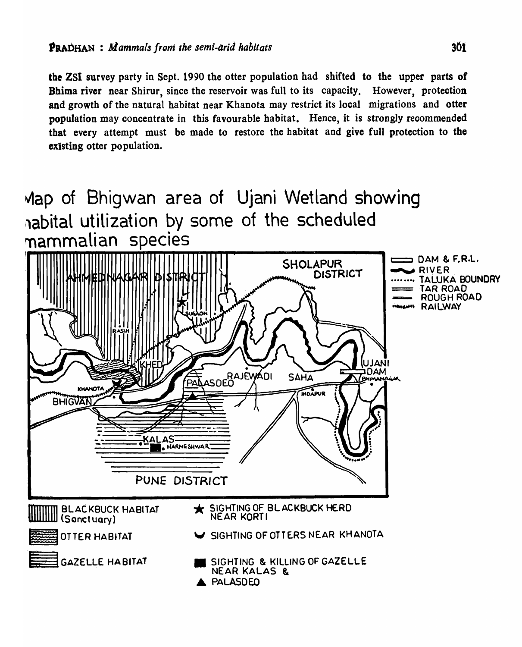the ZSI survey party in Sept. 1990 the otter population had shifted to the upper parts of Bhima river near Shirur, since the reservoir was full to its capacity. However, protection and growth of the natural habitat near Khanota may restrict its local migrations and otter population may concentrate in this favourable habitat. Hence, it is strongly recommended that every attempt must be made to restore the habitat and give full protection to the existing otter population.

Map of Bhigwan area of Ujani Wetland showing nabital utilization by some of the scheduled mammalian species

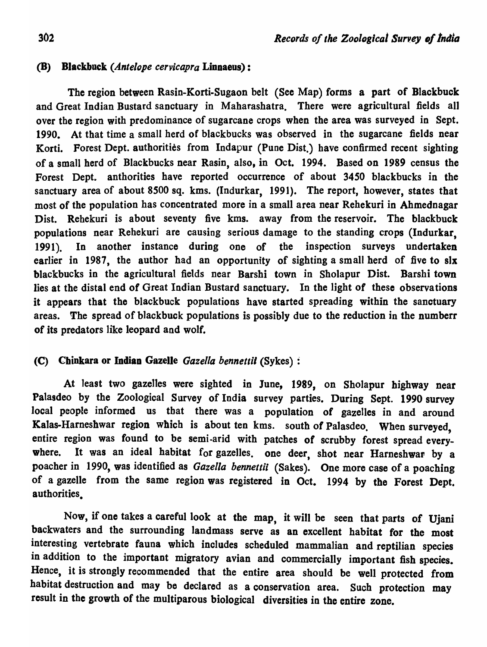### (B) Blackbuck *(Antelope cervicapra* Linnaeus):

The region between Rasin-Korti-Sugaon belt (See Map) forms a part of Blackbuck and Great Indian Bustard sanctuary in Maharashatra. There were agricultural fields all over the region with predominance of sugarcane crops when the area was surveyed in Sept. 1990. At that time a small herd of blackbucks was observed in the sugarcane fields near Korti. Forest Dept. authorities from Indapur (Pune Dist.) have confirmed recent sighting of a small herd of Blackbucks near Rasin, also, in Oct. 1994. Based on 1989 census the Forest Dept. anthorities have reported occurrence of about 3450 blackbucks in the sanctuary area of about 8500 sq. kms. (Indurkar, 1991). The report, however, states that most of the population has concentrated more in a small area near Rehekuri in Ahmednagar Dist. Rehekuri is about seventy five kms. away from the reservoir. The blackbuck populations near Rehekuri are causing serious damage to the standing crops (Indurkar, 1991). In another instance during one of the inspection surveys undertaken earlier in 1987, the author had an opportunity of sighting a small herd of five to slx blackbucks in the agricultural fields near Darshi town in Sholapur Dist. Darshi town lies at the distal end of Great Indian Bustard sanctuary. In the light of these observations it appears that the blackbuck populations have started spreading within the sanctuary areas. The spread of blackbuck populations is possibly due to the reduction in the numberr of its predators like leopard and wolf.

### (C) Cbinkara or IndiaD Gazelle *Gazella bennettil* (Sykes) :

At least two gazelles were sighted in June, 1989, on Sholapur highway near Palasdeo by the Zoological Survey of India survey parties. During Sept. 1990 survey local people informed us that there was a population of gazelles in and around Kalas-Harneshwar region which is about ten kms. south of Palasdeo. When surveyed, entire region was found to be semi-arid with patches of scrubby forest spread everywhere. It was an ideal habitat for gazelles. one deer, shot near Harneshwar by a poacher in 1990, was identified as *Gazella bennettii* (Sakes). One more case of a poaching of a gazelle from the same region was registered in Oct. 1994 by the Forest Dept. authorities.

Now, if one takes a careful look at the map, it will be seen that parts of Ujani backwaters and the surrounding landmass serve as an excellent habitat for the most interesting vertebrate fauna which includes scheduled mammalian and reptilian species in addition to the important migratory avian and commercially important fish species. Hence, it is strongly recommended that the entire area should be well protected from habitat destruction and may be declared as a conservation area. Such protection may result in the growth of the multiparous biological diversities in the entire zone.